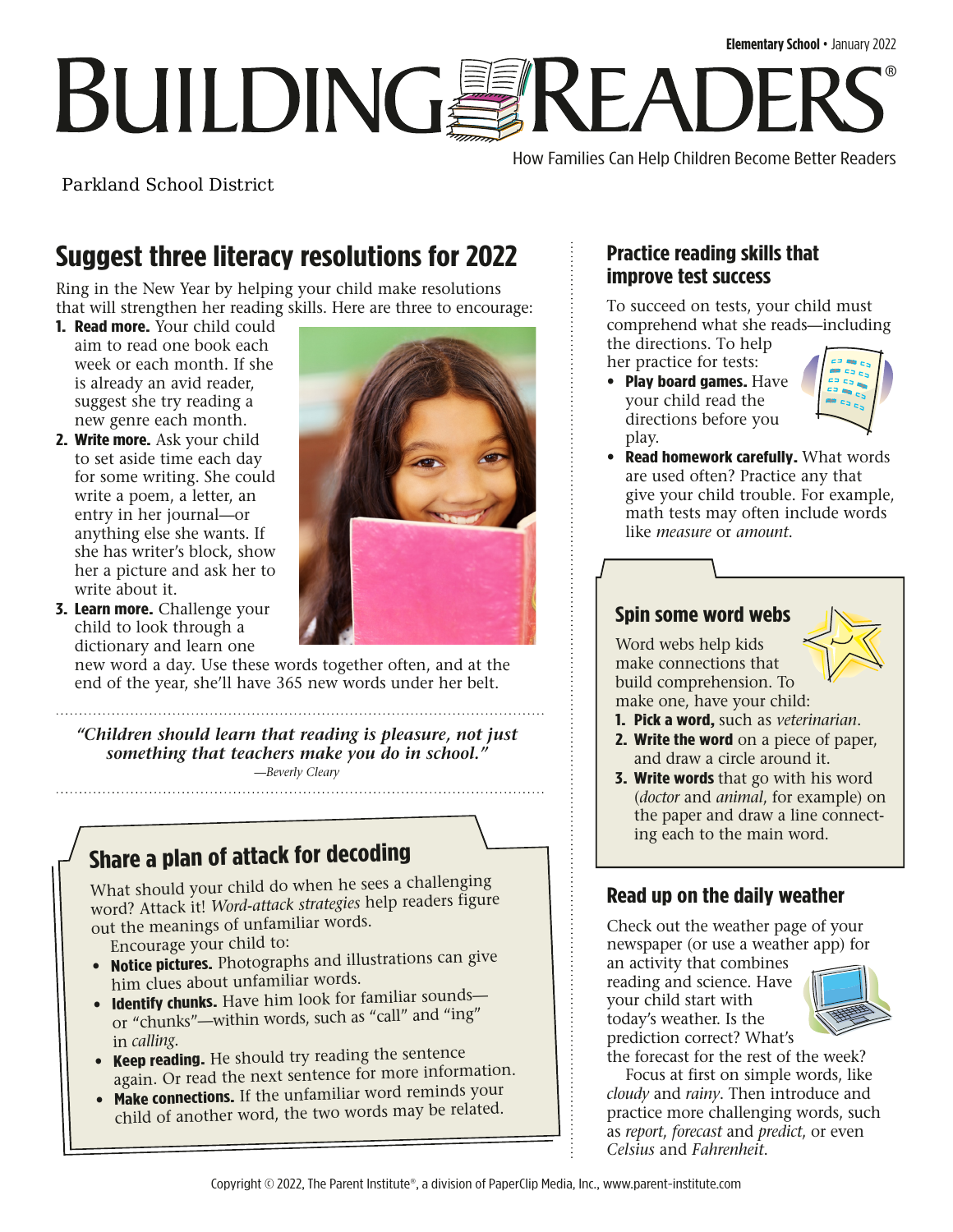# **Elementary School** • January 2022 **BUILDINGSREADI** ®

How Families Can Help Children Become Better Readers

Parkland School District

## **Suggest three literacy resolutions for 2022**

Ring in the New Year by helping your child make resolutions that will strengthen her reading skills. Here are three to encourage:

- **1. Read more.** Your child could aim to read one book each week or each month. If she is already an avid reader, suggest she try reading a new genre each month.
- **2. Write more.** Ask your child to set aside time each day for some writing. She could write a poem, a letter, an entry in her journal—or anything else she wants. If she has writer's block, show her a picture and ask her to write about it.
- **3. Learn more.** Challenge your child to look through a dictionary and learn one



new word a day. Use these words together often, and at the end of the year, she'll have 365 new words under her belt.

*"Children should learn that reading is pleasure, not just something that teachers make you do in school." —Beverly Cleary*

### **Share a plan of attack for decoding**

What should your child do when he sees a challenging word? Attack it! *Word-attack strategies* help readers figure out the meanings of unfamiliar words.

Encourage your child to:

- **Notice pictures.** Photographs and illustrations can give him clues about unfamiliar words.
- **Identify chunks.** Have him look for familiar sounds or "chunks"—within words, such as "call" and "ing" in *calling*.
- **Keep reading.** He should try reading the sentence again. Or read the next sentence for more information.
- **Make connections.** If the unfamiliar word reminds your child of another word, the two words may be related.

#### **Practice reading skills that improve test success**

To succeed on tests, your child must comprehend what she reads—including the directions. To help

her practice for tests:

• **Play board games.** Have your child read the directions before you play.



• **Read homework carefully.** What words are used often? Practice any that give your child trouble. For example, math tests may often include words like *measure* or *amount*.

#### **Spin some word webs**

Word webs help kids make connections that build comprehension. To make one, have your child:

- **1. Pick a word,** such as *veterinarian*.
- **2. Write the word** on a piece of paper, and draw a circle around it.
- **3. Write words** that go with his word (*doctor* and *animal*, for example) on the paper and draw a line connecting each to the main word.

### **Read up on the daily weather**

Check out the weather page of your newspaper (or use a weather app) for

an activity that combines reading and science. Have your child start with today's weather. Is the prediction correct? What's



the forecast for the rest of the week?

Focus at first on simple words, like *cloudy* and *rainy*. Then introduce and practice more challenging words, such as *report*, *forecast* and *predict*, or even *Celsius* and *Fahrenheit*.